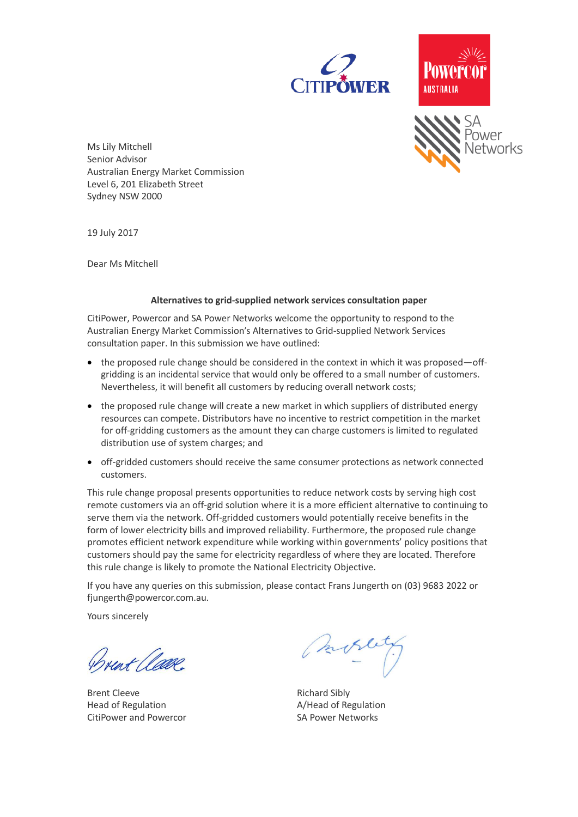

# AUSTRALIA



Ms Lily Mitchell Senior Advisor Australian Energy Market Commission Level 6, 201 Elizabeth Street Sydney NSW 2000

19 July 2017

Dear Ms Mitchell

#### **Alternatives to grid-supplied network services consultation paper**

CitiPower, Powercor and SA Power Networks welcome the opportunity to respond to the Australian Energy Market Commission's Alternatives to Grid-supplied Network Services consultation paper. In this submission we have outlined:

- $\bullet$  the proposed rule change should be considered in the context in which it was proposed—offgridding is an incidental service that would only be offered to a small number of customers. Nevertheless, it will benefit all customers by reducing overall network costs;
- the proposed rule change will create a new market in which suppliers of distributed energy resources can compete. Distributors have no incentive to restrict competition in the market for off-gridding customers as the amount they can charge customers is limited to regulated distribution use of system charges; and
- off-gridded customers should receive the same consumer protections as network connected customers.

This rule change proposal presents opportunities to reduce network costs by serving high cost remote customers via an off-grid solution where it is a more efficient alternative to continuing to serve them via the network. Off-gridded customers would potentially receive benefits in the form of lower electricity bills and improved reliability. Furthermore, the proposed rule change promotes efficient network expenditure while working within governments' policy positions that customers should pay the same for electricity regardless of where they are located. Therefore this rule change is likely to promote the National Electricity Objective.

If you have any queries on this submission, please contact Frans Jungerth on (03) 9683 2022 or fjungerth@powercor.com.au.

Yours sincerely

Trent Clave

Brent Cleeve Richard Sibly Head of Regulation **A/Head of Regulation** CitiPower and Powercor SA Power Networks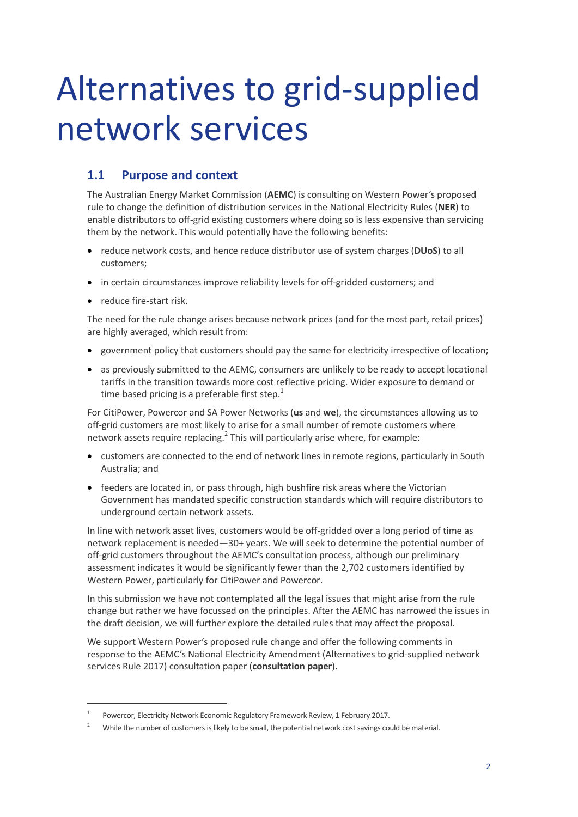# Alternatives to grid-supplied network services

### **1.1 Purpose and context**

The Australian Energy Market Commission (**AEMC**) is consulting on Western Power's proposed rule to change the definition of distribution services in the National Electricity Rules (**NER**) to enable distributors to off-grid existing customers where doing so is less expensive than servicing them by the network. This would potentially have the following benefits:

- reduce network costs, and hence reduce distributor use of system charges (DUoS) to all customers;
- in certain circumstances improve reliability levels for off-gridded customers; and
- reduce fire-start risk.

 $\overline{a}$ 

The need for the rule change arises because network prices (and for the most part, retail prices) are highly averaged, which result from:

- government policy that customers should pay the same for electricity irrespective of location;
- as previously submitted to the AEMC, consumers are unlikely to be ready to accept locational tariffs in the transition towards more cost reflective pricing. Wider exposure to demand or time based pricing is a preferable first step.<sup>1</sup>

For CitiPower, Powercor and SA Power Networks (**us** and **we**), the circumstances allowing us to off-grid customers are most likely to arise for a small number of remote customers where network assets require replacing.<sup>2</sup> This will particularly arise where, for example:

- customers are connected to the end of network lines in remote regions, particularly in South Australia; and
- feeders are located in, or pass through, high bushfire risk areas where the Victorian Government has mandated specific construction standards which will require distributors to underground certain network assets.

In line with network asset lives, customers would be off-gridded over a long period of time as network replacement is needed—30+ years. We will seek to determine the potential number of off-grid customers throughout the AEMC's consultation process, although our preliminary assessment indicates it would be significantly fewer than the 2,702 customers identified by Western Power, particularly for CitiPower and Powercor.

In this submission we have not contemplated all the legal issues that might arise from the rule change but rather we have focussed on the principles. After the AEMC has narrowed the issues in the draft decision, we will further explore the detailed rules that may affect the proposal.

We support Western Power's proposed rule change and offer the following comments in response to the AEMC's National Electricity Amendment (Alternatives to grid-supplied network services Rule 2017) consultation paper (**consultation paper**).

<sup>1</sup> Powercor, Electricity Network Economic Regulatory Framework Review, 1 February 2017.

<sup>&</sup>lt;sup>2</sup> While the number of customers is likely to be small, the potential network cost savings could be material.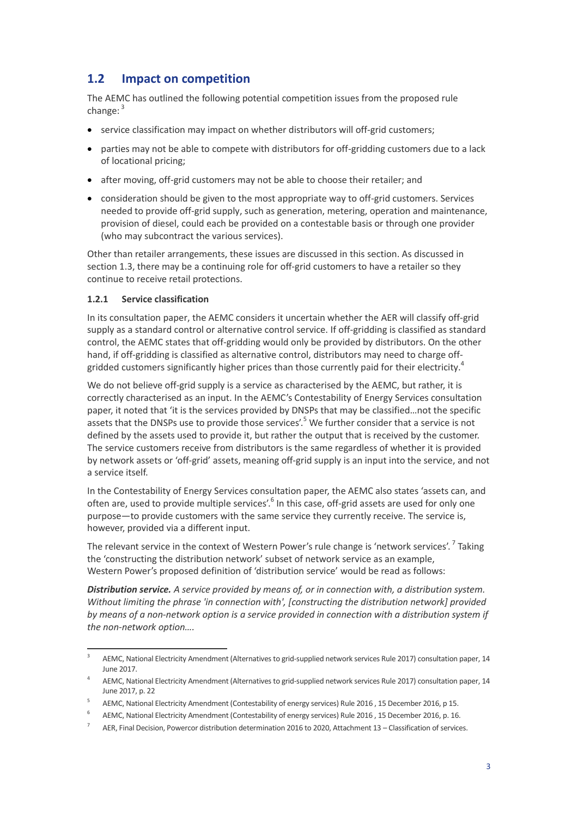# **1.2 Impact on competition**

The AEMC has outlined the following potential competition issues from the proposed rule change: <sup>3</sup>

- service classification may impact on whether distributors will off-grid customers;
- parties may not be able to compete with distributors for off-gridding customers due to a lack of locational pricing;
- after moving, off-grid customers may not be able to choose their retailer; and
- consideration should be given to the most appropriate way to off-grid customers. Services needed to provide off-grid supply, such as generation, metering, operation and maintenance, provision of diesel, could each be provided on a contestable basis or through one provider (who may subcontract the various services).

Other than retailer arrangements, these issues are discussed in this section. As discussed in section [1.3,](#page-4-0) there may be a continuing role for off-grid customers to have a retailer so they continue to receive retail protections.

#### **1.2.1 Service classification**

In its consultation paper, the AEMC considers it uncertain whether the AER will classify off-grid supply as a standard control or alternative control service. If off-gridding is classified as standard control, the AEMC states that off-gridding would only be provided by distributors. On the other hand, if off-gridding is classified as alternative control, distributors may need to charge offgridded customers significantly higher prices than those currently paid for their electricity.<sup>4</sup>

We do not believe off-grid supply is a service as characterised by the AEMC, but rather, it is correctly characterised as an input. In the AEMC's Contestability of Energy Services consultation paper, it noted that 'it is the services provided by DNSPs that may be classified…not the specific assets that the DNSPs use to provide those services'.<sup>5</sup> We further consider that a service is not defined by the assets used to provide it, but rather the output that is received by the customer. The service customers receive from distributors is the same regardless of whether it is provided by network assets or 'off-grid' assets, meaning off-grid supply is an input into the service, and not a service itself.

In the Contestability of Energy Services consultation paper, the AEMC also states 'assets can, and often are, used to provide multiple services'.<sup>6</sup> In this case, off-grid assets are used for only one purpose—to provide customers with the same service they currently receive. The service is, however, provided via a different input.

The relevant service in the context of Western Power's rule change is 'network services'. <sup>7</sup> Taking the 'constructing the distribution network' subset of network service as an example, Western Power's proposed definition of 'distribution service' would be read as follows:

*Distribution service. A service provided by means of, or in connection with, a distribution system. Without limiting the phrase 'in connection with', [constructing the distribution network] provided by means of a non-network option is a service provided in connection with a distribution system if the non-network option….*

<sup>-&</sup>lt;br>3 AEMC, National Electricity Amendment (Alternatives to grid-supplied network services Rule 2017) consultation paper, 14 June 2017.

<sup>4</sup> AEMC, National Electricity Amendment (Alternatives to grid-supplied network services Rule 2017) consultation paper, 14 June 2017, p. 22

<sup>5</sup> AEMC, National Electricity Amendment (Contestability of energy services) Rule 2016 , 15 December 2016, p 15.

<sup>6</sup> AEMC, National Electricity Amendment (Contestability of energy services) Rule 2016 , 15 December 2016, p. 16.

<sup>7</sup> AER, Final Decision, Powercor distribution determination 2016 to 2020, Attachment 13 – Classification of services.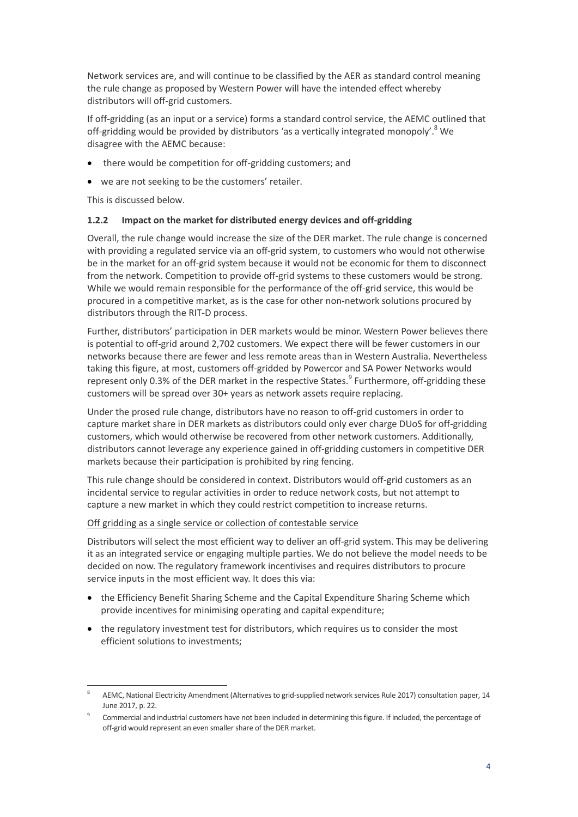Network services are, and will continue to be classified by the AER as standard control meaning the rule change as proposed by Western Power will have the intended effect whereby distributors will off-grid customers.

If off-gridding (as an input or a service) forms a standard control service, the AEMC outlined that off-gridding would be provided by distributors 'as a vertically integrated monopoly'.<sup>8</sup> We disagree with the AEMC because:

- there would be competition for off-gridding customers; and
- we are not seeking to be the customers' retailer.

This is discussed below.

#### **1.2.2 Impact on the market for distributed energy devices and off-gridding**

Overall, the rule change would increase the size of the DER market. The rule change is concerned with providing a regulated service via an off-grid system, to customers who would not otherwise be in the market for an off-grid system because it would not be economic for them to disconnect from the network. Competition to provide off-grid systems to these customers would be strong. While we would remain responsible for the performance of the off-grid service, this would be procured in a competitive market, as is the case for other non-network solutions procured by distributors through the RIT-D process.

Further, distributors' participation in DER markets would be minor. Western Power believes there is potential to off-grid around 2,702 customers. We expect there will be fewer customers in our networks because there are fewer and less remote areas than in Western Australia. Nevertheless taking this figure, at most, customers off-gridded by Powercor and SA Power Networks would represent only 0.3% of the DER market in the respective States.<sup>9</sup> Furthermore, off-gridding these customers will be spread over 30+ years as network assets require replacing.

Under the prosed rule change, distributors have no reason to off-grid customers in order to capture market share in DER markets as distributors could only ever charge DUoS for off-gridding customers, which would otherwise be recovered from other network customers. Additionally, distributors cannot leverage any experience gained in off-gridding customers in competitive DER markets because their participation is prohibited by ring fencing.

This rule change should be considered in context. Distributors would off-grid customers as an incidental service to regular activities in order to reduce network costs, but not attempt to capture a new market in which they could restrict competition to increase returns.

#### Off gridding as a single service or collection of contestable service

Distributors will select the most efficient way to deliver an off-grid system. This may be delivering it as an integrated service or engaging multiple parties. We do not believe the model needs to be decided on now. The regulatory framework incentivises and requires distributors to procure service inputs in the most efficient way. It does this via:

- the Efficiency Benefit Sharing Scheme and the Capital Expenditure Sharing Scheme which provide incentives for minimising operating and capital expenditure;
- the regulatory investment test for distributors, which requires us to consider the most efficient solutions to investments;

 $\overline{a}$ 8 AEMC, National Electricity Amendment (Alternatives to grid-supplied network services Rule 2017) consultation paper, 14 June 2017, p. 22.

<sup>9</sup> Commercial and industrial customers have not been included in determining this figure. If included, the percentage of off-grid would represent an even smaller share of the DER market.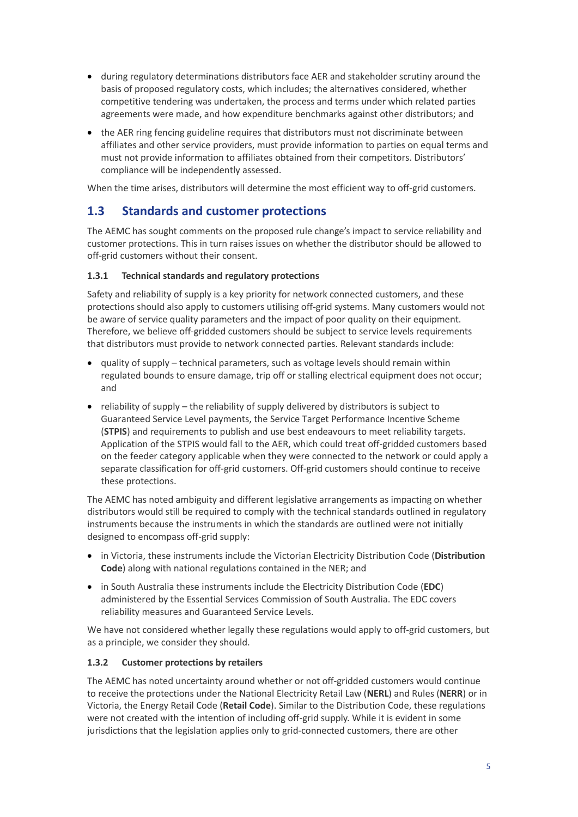- during regulatory determinations distributors face AER and stakeholder scrutiny around the basis of proposed regulatory costs, which includes; the alternatives considered, whether competitive tendering was undertaken, the process and terms under which related parties agreements were made, and how expenditure benchmarks against other distributors; and
- the AER ring fencing guideline requires that distributors must not discriminate between affiliates and other service providers, must provide information to parties on equal terms and must not provide information to affiliates obtained from their competitors. Distributors' compliance will be independently assessed.

When the time arises, distributors will determine the most efficient way to off-grid customers.

## <span id="page-4-0"></span>**1.3 Standards and customer protections**

The AEMC has sought comments on the proposed rule change's impact to service reliability and customer protections. This in turn raises issues on whether the distributor should be allowed to off-grid customers without their consent.

#### **1.3.1 Technical standards and regulatory protections**

Safety and reliability of supply is a key priority for network connected customers, and these protections should also apply to customers utilising off-grid systems. Many customers would not be aware of service quality parameters and the impact of poor quality on their equipment. Therefore, we believe off-gridded customers should be subject to service levels requirements that distributors must provide to network connected parties. Relevant standards include:

- quality of supply technical parameters, such as voltage levels should remain within regulated bounds to ensure damage, trip off or stalling electrical equipment does not occur; and
- reliability of supply the reliability of supply delivered by distributors is subject to Guaranteed Service Level payments, the Service Target Performance Incentive Scheme (**STPIS**) and requirements to publish and use best endeavours to meet reliability targets. Application of the STPIS would fall to the AER, which could treat off-gridded customers based on the feeder category applicable when they were connected to the network or could apply a separate classification for off-grid customers. Off-grid customers should continue to receive these protections.

The AEMC has noted ambiguity and different legislative arrangements as impacting on whether distributors would still be required to comply with the technical standards outlined in regulatory instruments because the instruments in which the standards are outlined were not initially designed to encompass off-grid supply:

- in Victoria, these instruments include the Victorian Electricity Distribution Code (**Distribution Code**) along with national regulations contained in the NER; and
- in South Australia these instruments include the Electricity Distribution Code (**EDC**) administered by the Essential Services Commission of South Australia. The EDC covers reliability measures and Guaranteed Service Levels.

We have not considered whether legally these regulations would apply to off-grid customers, but as a principle, we consider they should.

#### **1.3.2 Customer protections by retailers**

The AEMC has noted uncertainty around whether or not off-gridded customers would continue to receive the protections under the National Electricity Retail Law (**NERL**) and Rules (**NERR**) or in Victoria, the Energy Retail Code (**Retail Code**). Similar to the Distribution Code, these regulations were not created with the intention of including off-grid supply. While it is evident in some jurisdictions that the legislation applies only to grid-connected customers, there are other